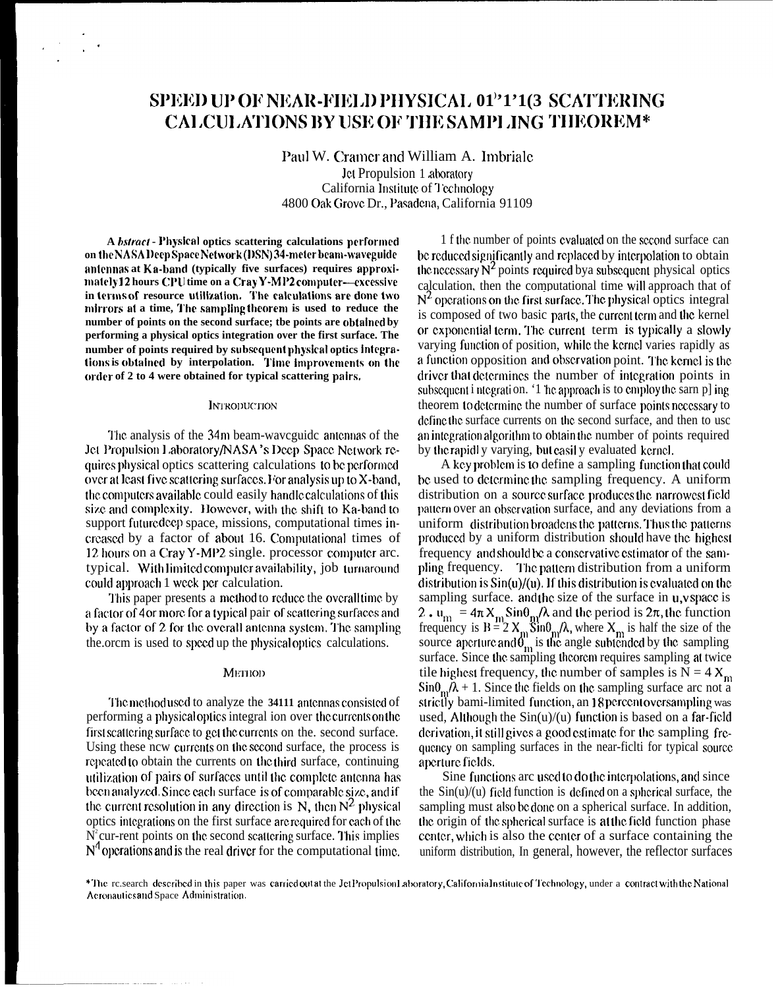## SPEED UP OF NEAR-FIELD PHYSICAL 01"1'1(3 SCATTERING **CALCULATIONS BY USE OF THE SAMPLING THEOREM\***

Paul W. Cramer and William A. Imbriale Jet Propulsion 1 aboratory California Institute of Technology 4800 Oak Grove Dr., Pasadena, California 91109

A *bstract* - Physical optics scattering calculations performed on the NASA Deep Space Network (DSN) 34-meter beam-waveguide antennas at Ka-band (typically five surfaces) requires approximately12 hours CPU time on a Cray Y-MP2 computer--excessive in terms of resource utilization. The calculations are done two mirrors at a time, The sampling theorem is used to reduce the number of points on the second surface; the points are obtained by performing a physical optics integration over the first surface. The number of points required by subsequent physical optics integrations is obtained by interpolation. Time improvements on the order of 2 to 4 were obtained for typical scattering pairs.

## **INTRODUCTION**

The analysis of the 34m beam-waveguide antennas of the Jet Propulsion Laboratory/NASA's Deep Space Network requires physical optics scattering calculations to be performed over at least five scattering surfaces. For analysis up to X-band, the computers available could easily handle calculations of this size and complexity. However, with the shift to Ka-band to support future deep space, missions, computational times increased by a factor of about 16. Computational times of 12 hours on a Cray Y-MP2 single. processor computer arc. typical. With limited computer availability, job turnaround could approach 1 week per calculation.

This paper presents a method to reduce the overall time by a factor of 4 or more for a typical pair of scattering surfaces and by a factor of 2 for the overall antenna system. The sampling the order is used to speed up the physical optics calculations.

## METHOD

The method used to analyze the 34111 antennas consisted of performing a physical optics integral ion over the currents on the first scattering surface to get the currents on the, second surface. Using these now currents on the second surface, the process is repeated to obtain the currents on the third surface, continuing utilization of pairs of surfaces until the complete antenna has been analyzed. Since each surface is of comparable size, and if the current resolution in any direction is N, then  $N^2$  physical optics integrations on the first surface are required for each of the  $N^2$  cur-rent points on the second scattering surface. This implies  $N^4$  operations and is the real driver for the computational time.

1 f the number of points evaluated on the second surface can be reduced significantly and replaced by interpolation to obtain the necessary  $N^2$  points required by a subsequent physical optics calculation, then the computational time will approach that of  $N<sup>2</sup>$  operations on the first surface. The physical optics integral is composed of two basic parts, the current term and the kernel or exponential term. The current term is typically a slowly varying function of position, while the kernel varies rapidly as a function opposition and observation point. The kemel is the driver that determines the number of integration points in subsequent i ntegration. '1 he approach is to employ the sarn p] ing theorem to determine the number of surface points necessary to define the surface currents on the second surface, and then to usc an integration algorithm to obtain the number of points required by the rapidly varying, but easily evaluated kernel.

A key problem is to define a sampling function that could be used to determine the sampling frequency. A uniform distribution on a source surface produces the narrowest field pattern over an observation surface, and any deviations from a uniform distribution broadens the patterns. Thus the patterns produced by a uniform distribution should have the highest frequency and should be a conservative estimator of the sampling frequency. The pattern distribution from a uniform distribution is  $Sin(u)/(u)$ . If this distribution is evaluated on the sampling surface. and the size of the surface in u,v space is 2.  $u_m = 4\pi X_m \sin\theta_m/\lambda$  and the period is  $2\pi$ , the function<br>frequency is  $B = 2 X_m \sin\theta_m/\lambda$ , where  $X_m$  is half the size of the<br>source aperture and  $\theta_m$  is the angle subtended by the sampling<br>surface. Since the sampling the tile highest frequency, the number of samples is  $N = 4 X_m$  $\sin\theta_{\rm m}/\lambda$  + 1. Since the fields on the sampling surface arc not a strictly bami-limited function, an 18 percent oversampling was used, Although the  $Sin(u)/(u)$  function is based on a far-field derivation, it still gives a good estimate for the sampling frequency on sampling surfaces in the near-fict i for typical source aperture fields.

Sine functions are used to do the interpolations, and since the  $Sin(u)/(u)$  field function is defined on a spherical surface, the sampling must also be done on a spherical surface. In addition, the origin of the spherical surface is at the field function phase center, which is also the center of a surface containing the uniform distribution, In general, however, the reflector surfaces

\*The research described in this paper was carried out at the Jet Propulsion Laboratory, California Institute of Technology, under a contract with the National Aeronautics and Space Administration.